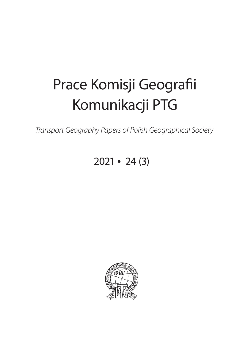# Prace Komisji Geografii Prace Komisji Geografii Komunikacji PTG Komunikacji PTG

*Transport Geography Papers of Polish Geographical Society Transport Geography Papers of Polish Geographical Society*

## 2021 • 24 (3)